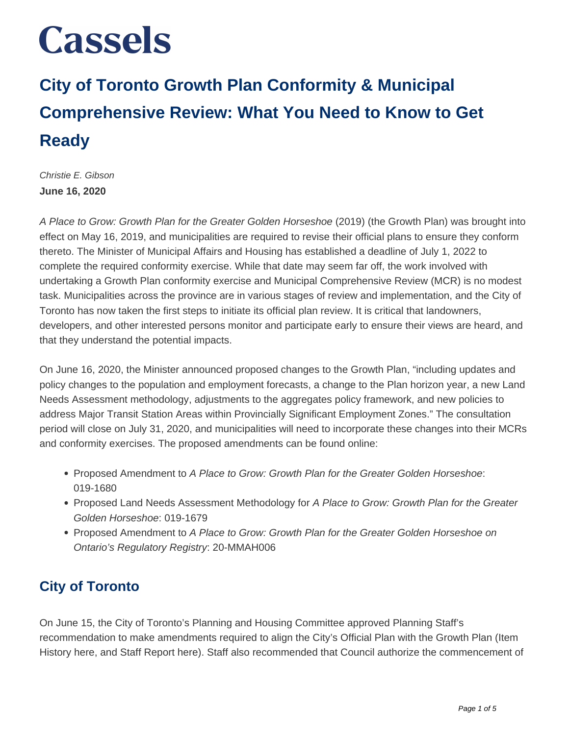## **City of Toronto Growth Plan Conformity & Municipal Comprehensive Review: What You Need to Know to Get Ready**

Christie E. Gibson **June 16, 2020**

A Place to Grow: Growth Plan for the Greater Golden Horseshoe (2019) (the Growth Plan) was brought into effect on May 16, 2019, and municipalities are required to revise their official plans to ensure they conform thereto. The Minister of Municipal Affairs and Housing has established a deadline of July 1, 2022 to complete the required conformity exercise. While that date may seem far off, the work involved with undertaking a Growth Plan conformity exercise and Municipal Comprehensive Review (MCR) is no modest task. Municipalities across the province are in various stages of review and implementation, and the City of Toronto has now taken the first steps to initiate its official plan review. It is critical that landowners, developers, and other interested persons monitor and participate early to ensure their views are heard, and that they understand the potential impacts.

On June 16, 2020, the Minister announced proposed changes to the Growth Plan, "including updates and policy changes to the population and employment forecasts, a change to the Plan horizon year, a new Land Needs Assessment methodology, adjustments to the aggregates policy framework, and new policies to address Major Transit Station Areas within Provincially Significant Employment Zones." The consultation period will close on July 31, 2020, and municipalities will need to incorporate these changes into their MCRs and conformity exercises. The proposed amendments can be found online:

- Proposed Amendment to A Place to Grow: Growth Plan for the Greater Golden Horseshoe: 019-1680
- Proposed Land Needs Assessment Methodology for A Place to Grow: Growth Plan for the Greater Golden Horseshoe: 019-1679
- Proposed Amendment to A Place to Grow: Growth Plan for the Greater Golden Horseshoe on Ontario's Regulatory Registry: 20-MMAH006

### **City of Toronto**

On June 15, the City of Toronto's Planning and Housing Committee approved Planning Staff's recommendation to make amendments required to align the City's Official Plan with the Growth Plan (Item History here, and Staff Report here). Staff also recommended that Council authorize the commencement of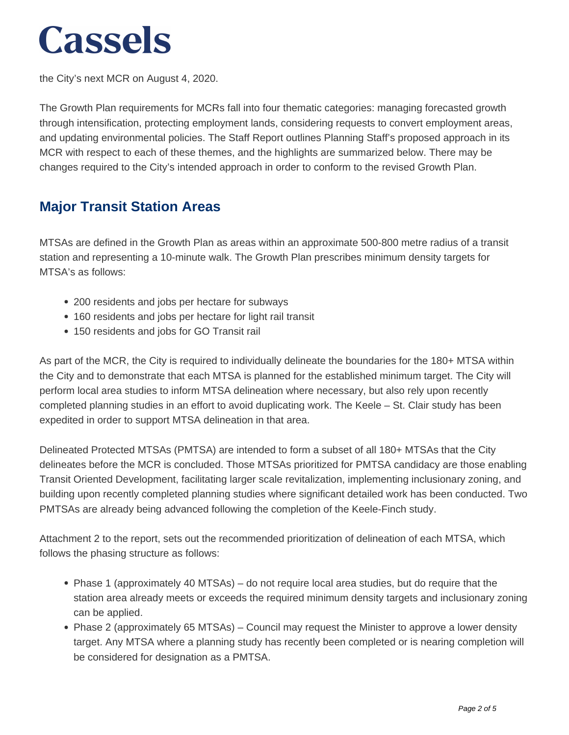the City's next MCR on August 4, 2020.

The Growth Plan requirements for MCRs fall into four thematic categories: managing forecasted growth through intensification, protecting employment lands, considering requests to convert employment areas, and updating environmental policies. The Staff Report outlines Planning Staff's proposed approach in its MCR with respect to each of these themes, and the highlights are summarized below. There may be changes required to the City's intended approach in order to conform to the revised Growth Plan.

#### **Major Transit Station Areas**

MTSAs are defined in the Growth Plan as areas within an approximate 500-800 metre radius of a transit station and representing a 10-minute walk. The Growth Plan prescribes minimum density targets for MTSA's as follows:

- 200 residents and jobs per hectare for subways
- 160 residents and jobs per hectare for light rail transit
- 150 residents and jobs for GO Transit rail

As part of the MCR, the City is required to individually delineate the boundaries for the 180+ MTSA within the City and to demonstrate that each MTSA is planned for the established minimum target. The City will perform local area studies to inform MTSA delineation where necessary, but also rely upon recently completed planning studies in an effort to avoid duplicating work. The Keele – St. Clair study has been expedited in order to support MTSA delineation in that area.

Delineated Protected MTSAs (PMTSA) are intended to form a subset of all 180+ MTSAs that the City delineates before the MCR is concluded. Those MTSAs prioritized for PMTSA candidacy are those enabling Transit Oriented Development, facilitating larger scale revitalization, implementing inclusionary zoning, and building upon recently completed planning studies where significant detailed work has been conducted. Two PMTSAs are already being advanced following the completion of the Keele-Finch study.

Attachment 2 to the report, sets out the recommended prioritization of delineation of each MTSA, which follows the phasing structure as follows:

- Phase 1 (approximately 40 MTSAs) do not require local area studies, but do require that the station area already meets or exceeds the required minimum density targets and inclusionary zoning can be applied.
- Phase 2 (approximately 65 MTSAs) Council may request the Minister to approve a lower density target. Any MTSA where a planning study has recently been completed or is nearing completion will be considered for designation as a PMTSA.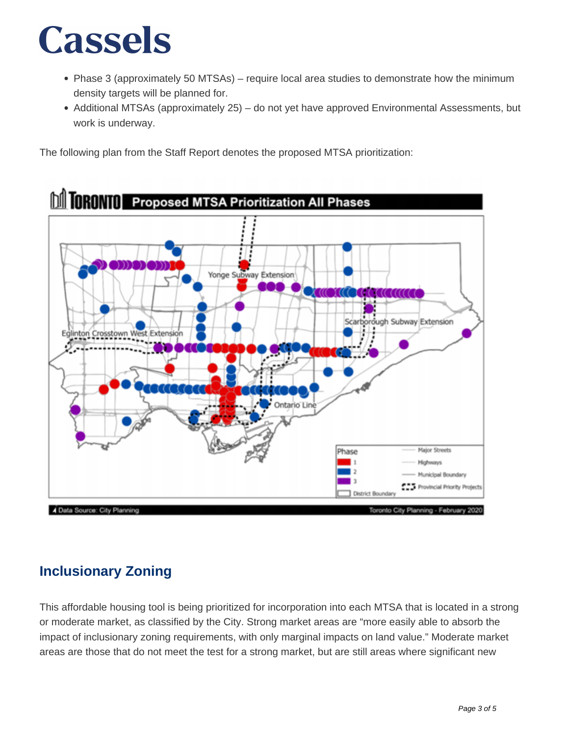- Phase 3 (approximately 50 MTSAs) require local area studies to demonstrate how the minimum density targets will be planned for.
- Additional MTSAs (approximately 25) do not yet have approved Environmental Assessments, but work is underway.

The following plan from the Staff Report denotes the proposed MTSA prioritization:



### **Inclusionary Zoning**

This affordable housing tool is being prioritized for incorporation into each MTSA that is located in a strong or moderate market, as classified by the City. Strong market areas are "more easily able to absorb the impact of inclusionary zoning requirements, with only marginal impacts on land value." Moderate market areas are those that do not meet the test for a strong market, but are still areas where significant new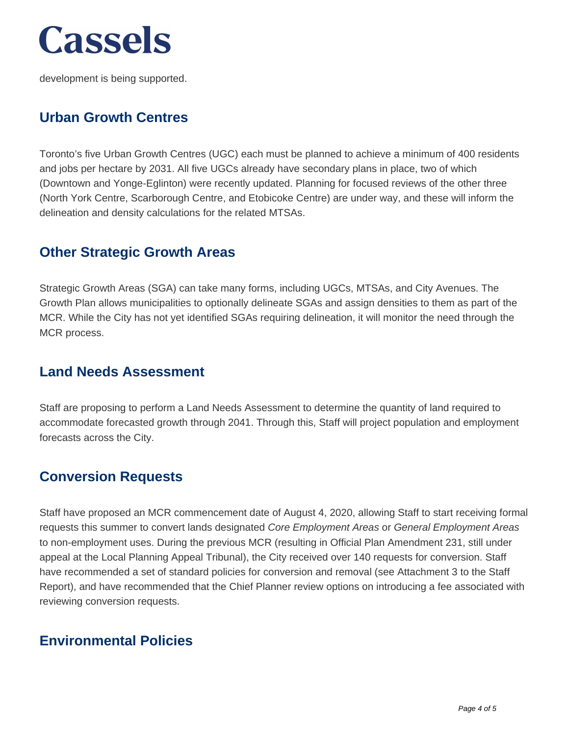development is being supported.

#### **Urban Growth Centres**

Toronto's five Urban Growth Centres (UGC) each must be planned to achieve a minimum of 400 residents and jobs per hectare by 2031. All five UGCs already have secondary plans in place, two of which (Downtown and Yonge-Eglinton) were recently updated. Planning for focused reviews of the other three (North York Centre, Scarborough Centre, and Etobicoke Centre) are under way, and these will inform the delineation and density calculations for the related MTSAs.

#### **Other Strategic Growth Areas**

Strategic Growth Areas (SGA) can take many forms, including UGCs, MTSAs, and City Avenues. The Growth Plan allows municipalities to optionally delineate SGAs and assign densities to them as part of the MCR. While the City has not yet identified SGAs requiring delineation, it will monitor the need through the MCR process.

#### **Land Needs Assessment**

Staff are proposing to perform a Land Needs Assessment to determine the quantity of land required to accommodate forecasted growth through 2041. Through this, Staff will project population and employment forecasts across the City.

#### **Conversion Requests**

Staff have proposed an MCR commencement date of August 4, 2020, allowing Staff to start receiving formal requests this summer to convert lands designated Core Employment Areas or General Employment Areas to non-employment uses. During the previous MCR (resulting in Official Plan Amendment 231, still under appeal at the Local Planning Appeal Tribunal), the City received over 140 requests for conversion. Staff have recommended a set of standard policies for conversion and removal (see Attachment 3 to the Staff Report), and have recommended that the Chief Planner review options on introducing a fee associated with reviewing conversion requests.

#### **Environmental Policies**